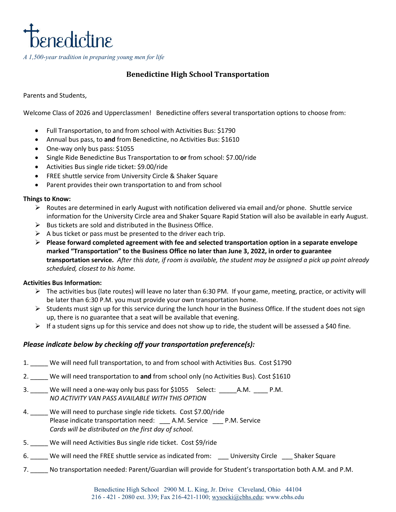

# **Benedictine High School Transportation**

Parents and Students,

Welcome Class of 2026 and Upperclassmen! Benedictine offers several transportation options to choose from:

- Full Transportation, to and from school with Activities Bus: \$1790
- Annual bus pass, to **and** from Benedictine, no Activities Bus: \$1610
- One-way only bus pass: \$1055
- Single Ride Benedictine Bus Transportation to **or** from school: \$7.00/ride
- Activities Bus single ride ticket: \$9.00/ride
- FREE shuttle service from University Circle & Shaker Square
- Parent provides their own transportation to and from school

### **Things to Know:**

- $\triangleright$  Routes are determined in early August with notification delivered via email and/or phone. Shuttle service information for the University Circle area and Shaker Square Rapid Station will also be available in early August.
- $\triangleright$  Bus tickets are sold and distributed in the Business Office.
- $\triangleright$  A bus ticket or pass must be presented to the driver each trip.
- **Please forward completed agreement with fee and selected transportation option in a separate envelope marked "Transportation" to the Business Office no later than June 3, 2022, in order to guarantee transportation service.** *After this date, if room is available, the student may be assigned a pick up point already scheduled, closest to his home.*

### **Activities Bus Information:**

- The activities bus (late routes) will leave no later than 6:30 PM. If your game, meeting, practice, or activity will be later than 6:30 P.M. you must provide your own transportation home.
- $\triangleright$  Students must sign up for this service during the lunch hour in the Business Office. If the student does not sign up, there is no guarantee that a seat will be available that evening.
- $\triangleright$  If a student signs up for this service and does not show up to ride, the student will be assessed a \$40 fine.

## *Please indicate below by checking off your transportation preference(s):*

- 1. \_\_\_\_\_ We will need full transportation, to and from school with Activities Bus. Cost \$1790
- 2. \_\_\_\_\_ We will need transportation to **and** from school only (no Activities Bus). Cost \$1610
- 3. \_\_\_\_\_ We will need a one-way only bus pass for \$1055 Select: \_\_\_\_\_\_A.M. \_\_\_\_\_ P.M. *NO ACTIVITY VAN PASS AVAILABLE WITH THIS OPTION*
- 4. \_\_\_\_\_ We will need to purchase single ride tickets. Cost \$7.00/ride Please indicate transportation need: \_\_\_ A.M. Service \_\_\_ P.M. Service *Cards will be distributed on the first day of school.*
- 5. \_\_\_\_\_ We will need Activities Bus single ride ticket. Cost \$9/ride
- 6. We will need the FREE shuttle service as indicated from: University Circle Shaker Square
- 7. \_\_\_\_\_ No transportation needed: Parent/Guardian will provide for Student's transportation both A.M. and P.M.